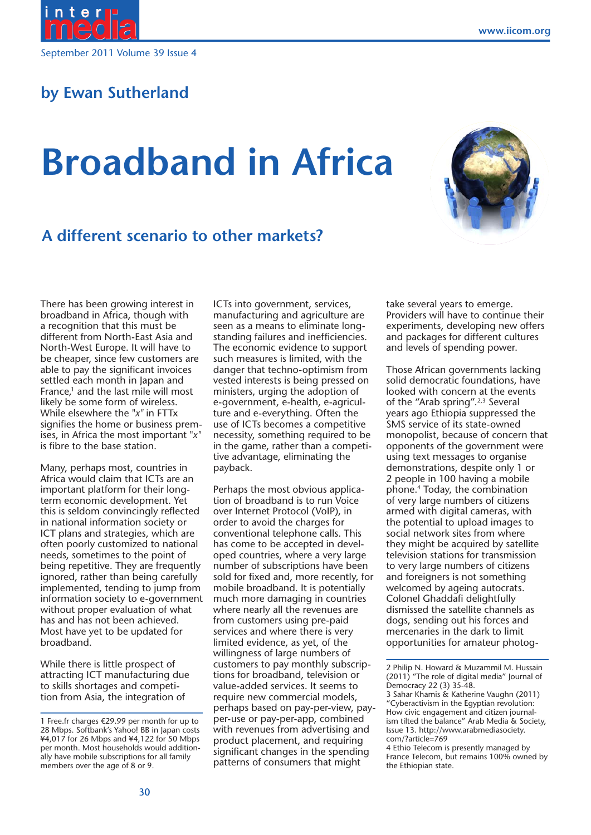



# **by Ewan Sutherland**

# **Broadband in Africa**



## **A different scenario to other markets?**

There has been growing interest in broadband in Africa, though with a recognition that this must be different from North-East Asia and North-West Europe. It will have to be cheaper, since few customers are able to pay the significant invoices settled each month in Japan and France, $1$  and the last mile will most likely be some form of wireless. While elsewhere the "*x"* in FTTx signifies the home or business premises, in Africa the most important "*x"* is fibre to the base station.

Many, perhaps most, countries in Africa would claim that ICTs are an important platform for their longterm economic development. Yet this is seldom convincingly reflected in national information society or ICT plans and strategies, which are often poorly customized to national needs, sometimes to the point of being repetitive. They are frequently ignored, rather than being carefully implemented, tending to jump from information society to e-government without proper evaluation of what has and has not been achieved. Most have yet to be updated for broadband.

While there is little prospect of attracting ICT manufacturing due to skills shortages and competition from Asia, the integration of

ICTs into government, services, manufacturing and agriculture are seen as a means to eliminate longstanding failures and inefficiencies. The economic evidence to support such measures is limited, with the danger that techno-optimism from vested interests is being pressed on ministers, urging the adoption of e-government, e-health, e-agriculture and e-everything. Often the use of ICTs becomes a competitive necessity, something required to be in the game, rather than a competitive advantage, eliminating the payback.

Perhaps the most obvious application of broadband is to run Voice over Internet Protocol (VoIP), in order to avoid the charges for conventional telephone calls. This has come to be accepted in developed countries, where a very large number of subscriptions have been sold for fixed and, more recently, for mobile broadband. It is potentially much more damaging in countries where nearly all the revenues are from customers using pre-paid services and where there is very limited evidence, as yet, of the willingness of large numbers of customers to pay monthly subscriptions for broadband, television or value-added services. It seems to require new commercial models, perhaps based on pay-per-view, payper-use or pay-per-app, combined with revenues from advertising and product placement, and requiring significant changes in the spending patterns of consumers that might

take several years to emerge. Providers will have to continue their experiments, developing new offers and packages for different cultures and levels of spending power.

Those African governments lacking solid democratic foundations, have looked with concern at the events of the "Arab spring".<sup>2,3</sup> Several years ago Ethiopia suppressed the SMS service of its state-owned monopolist, because of concern that opponents of the government were using text messages to organise demonstrations, despite only 1 or 2 people in 100 having a mobile phone.4 Today, the combination of very large numbers of citizens armed with digital cameras, with the potential to upload images to social network sites from where they might be acquired by satellite television stations for transmission to very large numbers of citizens and foreigners is not something welcomed by ageing autocrats. Colonel Ghaddafi delightfully dismissed the satellite channels as dogs, sending out his forces and mercenaries in the dark to limit opportunities for amateur photog-

<sup>1</sup> Free.fr charges €29.99 per month for up to 28 Mbps. Softbank's Yahoo! BB in Japan costs ¥4,017 for 26 Mbps and ¥4,122 for 50 Mbps per month. Most households would additionally have mobile subscriptions for all family members over the age of 8 or 9.

<sup>2</sup> Philip N. Howard & Muzammil M. Hussain (2011) "The role of digital media" Journal of Democracy 22 (3) 35-48.

<sup>3</sup> Sahar Khamis & Katherine Vaughn (2011) "Cyberactivism in the Egyptian revolution: How civic engagement and citizen journalism tilted the balance" Arab Media & Society, Issue 13. http://www.arabmediasociety. com/?article=769

<sup>4</sup> Ethio Telecom is presently managed by France Telecom, but remains 100% owned by the Ethiopian state.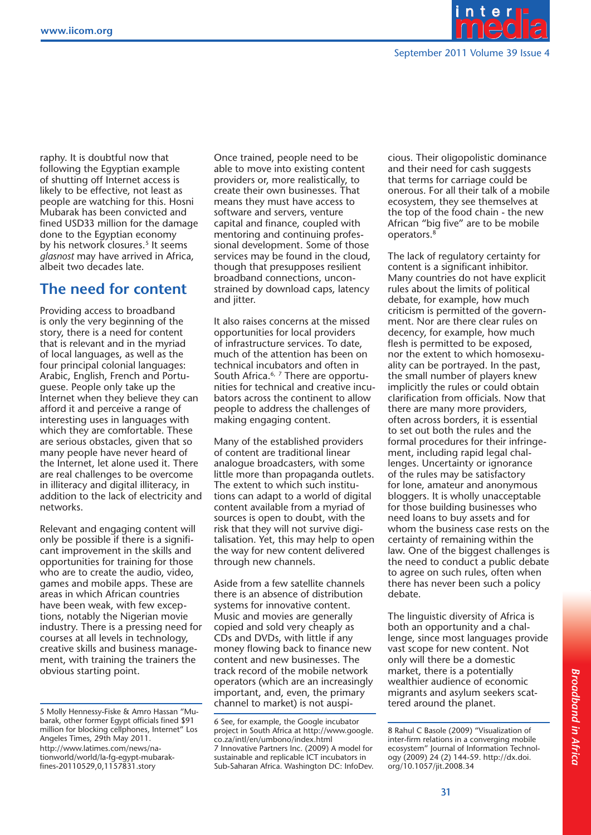

raphy. It is doubtful now that following the Egyptian example of shutting off Internet access is likely to be effective, not least as people are watching for this. Hosni Mubarak has been convicted and fined USD33 million for the damage done to the Egyptian economy by his network closures.<sup>5</sup> It seems *glasnost* may have arrived in Africa, albeit two decades late.

## **The need for content**

Providing access to broadband is only the very beginning of the story, there is a need for content that is relevant and in the myriad of local languages, as well as the four principal colonial languages: Arabic, English, French and Portuguese. People only take up the Internet when they believe they can afford it and perceive a range of interesting uses in languages with which they are comfortable. These are serious obstacles, given that so many people have never heard of the Internet, let alone used it. There are real challenges to be overcome in illiteracy and digital illiteracy, in addition to the lack of electricity and networks.

Relevant and engaging content will only be possible if there is a significant improvement in the skills and opportunities for training for those who are to create the audio, video, games and mobile apps. These are areas in which African countries have been weak, with few exceptions, notably the Nigerian movie industry. There is a pressing need for courses at all levels in technology, creative skills and business management, with training the trainers the obvious starting point.

Once trained, people need to be able to move into existing content providers or, more realistically, to create their own businesses. That means they must have access to software and servers, venture capital and finance, coupled with mentoring and continuing professional development. Some of those services may be found in the cloud, though that presupposes resilient broadband connections, unconstrained by download caps, latency and *iitter*.

It also raises concerns at the missed opportunities for local providers of infrastructure services. To date, much of the attention has been on technical incubators and often in South Africa.<sup>6, 7</sup> There are opportunities for technical and creative incubators across the continent to allow people to address the challenges of making engaging content.

Many of the established providers of content are traditional linear analogue broadcasters, with some little more than propaganda outlets. The extent to which such institutions can adapt to a world of digital content available from a myriad of sources is open to doubt, with the risk that they will not survive digitalisation. Yet, this may help to open the way for new content delivered through new channels.

Aside from a few satellite channels there is an absence of distribution systems for innovative content. Music and movies are generally copied and sold very cheaply as CDs and DVDs, with little if any money flowing back to finance new content and new businesses. The track record of the mobile network operators (which are an increasingly important, and, even, the primary channel to market) is not auspicious. Their oligopolistic dominance and their need for cash suggests that terms for carriage could be onerous. For all their talk of a mobile ecosystem, they see themselves at the top of the food chain - the new African "big five" are to be mobile operators.8

The lack of regulatory certainty for content is a significant inhibitor. Many countries do not have explicit rules about the limits of political debate, for example, how much criticism is permitted of the government. Nor are there clear rules on decency, for example, how much flesh is permitted to be exposed, nor the extent to which homosexuality can be portrayed. In the past, the small number of players knew implicitly the rules or could obtain clarification from officials. Now that there are many more providers, often across borders, it is essential to set out both the rules and the formal procedures for their infringement, including rapid legal challenges. Uncertainty or ignorance of the rules may be satisfactory for lone, amateur and anonymous bloggers. It is wholly unacceptable for those building businesses who need loans to buy assets and for whom the business case rests on the certainty of remaining within the law. One of the biggest challenges is the need to conduct a public debate to agree on such rules, often when there has never been such a policy debate.

The linguistic diversity of Africa is both an opportunity and a challenge, since most languages provide vast scope for new content. Not only will there be a domestic market, there is a potentially wealthier audience of economic migrants and asylum seekers scattered around the planet.

<sup>5</sup> Molly Hennessy-Fiske & Amro Hassan "Mubarak, other former Egypt officials fined \$91 million for blocking cellphones, Internet" Los Angeles Times, 29th May 2011. http://www.latimes.com/news/nationworld/world/la-fg-egypt-mubarakfines-20110529,0,1157831.story

<sup>6</sup> See, for example, the Google incubator project in South Africa at http://www.google. co.za/intl/en/umbono/index.html 7 Innovative Partners Inc. (2009) A model for sustainable and replicable ICT incubators in Sub-Saharan Africa. Washington DC: InfoDev.

<sup>8</sup> Rahul C Basole (2009) "Visualization of inter-firm relations in a converging mobile ecosystem" Journal of Information Technology (2009) 24 (2) 144-59. http://dx.doi. org/10.1057/jit.2008.34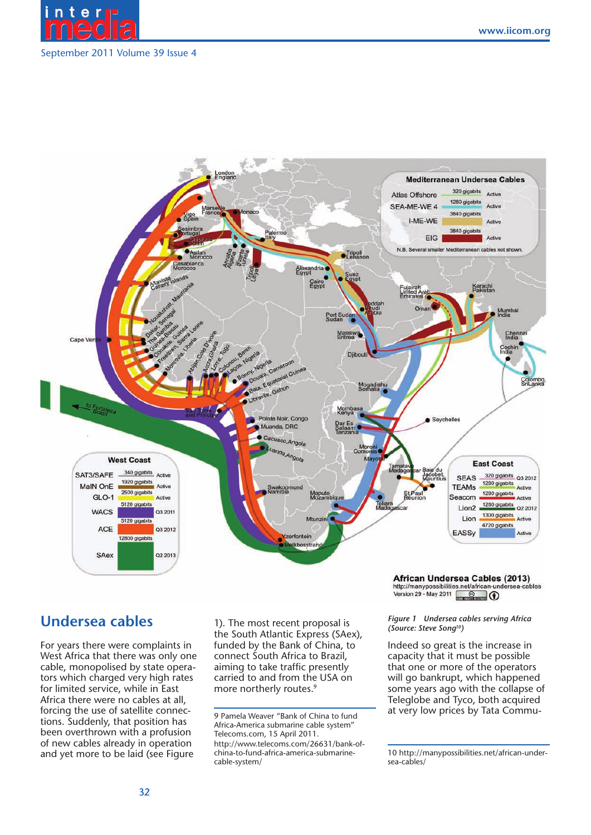

#### September 2011 Volume 39 Issue 4



## **Undersea cables**

For years there were complaints in West Africa that there was only one cable, monopolised by state operators which charged very high rates for limited service, while in East Africa there were no cables at all, forcing the use of satellite connections. Suddenly, that position has been overthrown with a profusion of new cables already in operation and yet more to be laid (see Figure

1). The most recent proposal is the South Atlantic Express (SAex), funded by the Bank of China, to connect South Africa to Brazil, aiming to take traffic presently carried to and from the USA on more northerly routes.<sup>9</sup>

African Undersea Cables (2013) http://manypossibilities.net/african-under<br>Version 29 - May 2011

#### *Figure 1 Undersea cables serving Africa (Source: Steve Song10)*

Indeed so great is the increase in capacity that it must be possible that one or more of the operators will go bankrupt, which happened some years ago with the collapse of Teleglobe and Tyco, both acquired at very low prices by Tata Commu-

<sup>9</sup> Pamela Weaver "Bank of China to fund Africa-America submarine cable system" Telecoms.com, 15 April 2011. http://www.telecoms.com/26631/bank-ofchina-to-fund-africa-america-submarinecable-system/

<sup>10</sup> http://manypossibilities.net/african-undersea-cables/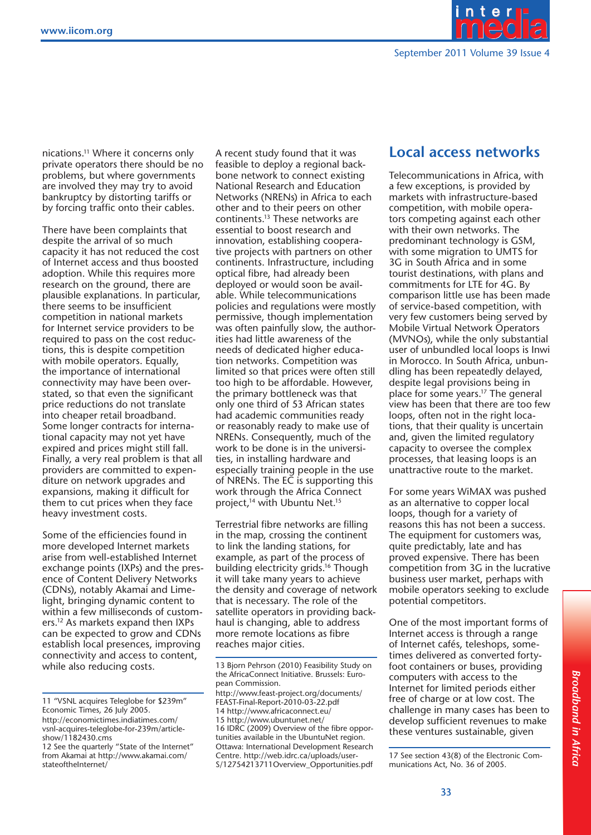

nications.11 Where it concerns only private operators there should be no problems, but where governments are involved they may try to avoid bankruptcy by distorting tariffs or by forcing traffic onto their cables.

There have been complaints that despite the arrival of so much capacity it has not reduced the cost of Internet access and thus boosted adoption. While this requires more research on the ground, there are plausible explanations. In particular, there seems to be insufficient competition in national markets for Internet service providers to be required to pass on the cost reductions, this is despite competition with mobile operators. Equally, the importance of international connectivity may have been overstated, so that even the significant price reductions do not translate into cheaper retail broadband. Some longer contracts for international capacity may not yet have expired and prices might still fall. Finally, a very real problem is that all providers are committed to expenditure on network upgrades and expansions, making it difficult for them to cut prices when they face heavy investment costs.

Some of the efficiencies found in more developed Internet markets arise from well-established Internet more developed Internet markets<br>arise from well-established Internet<br>exchange points (IXPs) and the presence of Content Delivery Networks (CDNs), notably Akamai and Limelight, bringing dynamic content to within a few milliseconds of customlight, bringing dynamic content to<br>within a few milliseconds of custom-<br>ers.<sup>12</sup> As markets expand then IXPs can be expected to grow and CDNs establish local presences, improving connectivity and access to content, while also reducing costs.

A recent study found that it was feasible to deploy a regional backbone network to connect existing National Research and Education Networks (NRENs) in Africa to each other and to their peers on other continents.13 These networks are essential to boost research and innovation, establishing cooperative projects with partners on other continents. Infrastructure, including optical fibre, had already been deployed or would soon be available. While telecommunications policies and regulations were mostly permissive, though implementation was often painfully slow, the authorities had little awareness of the needs of dedicated higher education networks. Competition was limited so that prices were often still too high to be affordable. However, the primary bottleneck was that only one third of 53 African states had academic communities ready or reasonably ready to make use of NRENs. Consequently, much of the work to be done is in the universities, in installing hardware and especially training people in the use of NRENs. The EC is supporting this work through the Africa Connect project,<sup>14</sup> with Ubuntu Net.<sup>15</sup>

Terrestrial fibre networks are filling in the map, crossing the continent to link the landing stations, for example, as part of the process of building electricity grids.<sup>16</sup> Though it will take many years to achieve the density and coverage of network that is necessary. The role of the satellite operators in providing backhaul is changing, able to address more remote locations as fibre reaches major cities.

http://www.feast-project.org/documents/ FEAST-Final-Report-2010-03-22.pdf 14 http://www.africaconnect.eu/ 15 http://www.ubuntunet.net/ 16 IDRC (2009) Overview of the fibre opportunities available in the UbuntuNet region. Ottawa: International Development Research Centre. http://web.idrc.ca/uploads/user-S/12754213711Overview\_Opportunities.pdf

## **Local access networks**

Telecommunications in Africa, with a few exceptions, is provided by markets with infrastructure-based competition, with mobile operators competing against each other with their own networks. The predominant technology is GSM, with some migration to UMTS for 3G in South Africa and in some tourist destinations, with plans and commitments for LTE for 4G. By comparison little use has been made of service-based competition, with very few customers being served by Mobile Virtual Network Operators (MVNOs), while the only substantial user of unbundled local loops is Inwi in Morocco. In South Africa, unbundling has been repeatedly delayed, despite legal provisions being in place for some years.17 The general view has been that there are too few loops, often not in the right locations, that their quality is uncertain and, given the limited regulatory capacity to oversee the complex processes, that leasing loops is an unattractive route to the market.

For some years WiMAX was pushed as an alternative to copper local loops, though for a variety of reasons this has not been a success. The equipment for customers was, quite predictably, late and has proved expensive. There has been competition from 3G in the lucrative business user market, perhaps with mobile operators seeking to exclude potential competitors.

One of the most important forms of Internet access is through a range of Internet cafés, teleshops, sometimes delivered as converted fortyfoot containers or buses, providing computers with access to the Internet for limited periods either free of charge or at low cost. The challenge in many cases has been to develop sufficient revenues to make these ventures sustainable, given

17 See section 43(8) of the Electronic Communications Act, No. 36 of 2005.

<sup>11 &</sup>quot;VSNL acquires Teleglobe for \$239m" Economic Times, 26 July 2005. http://economictimes.indiatimes.com/ vsnl-acquires-teleglobe-for-239m/articleshow/1182430.cms

<sup>12</sup> See the quarterly "State of the Internet" from Akamai at http://www.akamai.com/ stateoftheInternet/

<sup>13</sup> Bjorn Pehrson (2010) Feasibility Study on the AfricaConnect Initiative. Brussels: European Commission.